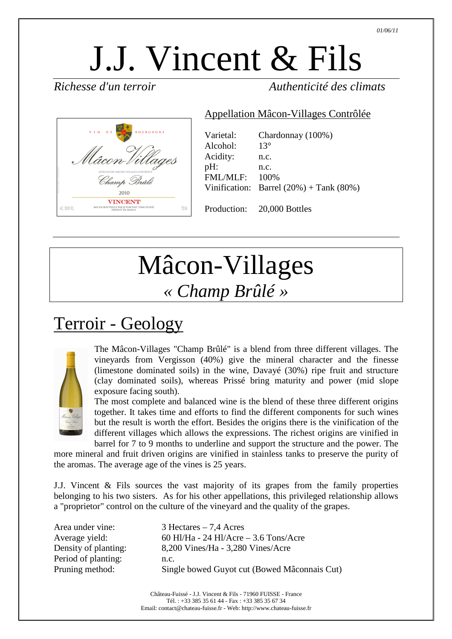# J.J. Vincent & Fils

*Richesse d'un terroir Authenticité des climats* 



| Varietal: | Chardonnay (100%)                                 |
|-----------|---------------------------------------------------|
| Alcohol:  | $13^\circ$                                        |
| Acidity:  | n.c.                                              |
| pH:       | n.c.                                              |
| FMI/MI.F: | 100\%                                             |
|           | Vinification: Barrel $(20%) + \text{Tank } (80%)$ |

Appellation Mâcon-Villages Contrôlée

Production: 20,000 Bottles

## Mâcon-Villages *« Champ Brûlé »*

### Terroir - Geology



The Mâcon-Villages "Champ Brûlé" is a blend from three different villages. The vineyards from Vergisson (40%) give the mineral character and the finesse (limestone dominated soils) in the wine, Davayé (30%) ripe fruit and structure (clay dominated soils), whereas Prissé bring maturity and power (mid slope exposure facing south).

The most complete and balanced wine is the blend of these three different origins together. It takes time and efforts to find the different components for such wines but the result is worth the effort. Besides the origins there is the vinification of the different villages which allows the expressions. The richest origins are vinified in barrel for 7 to 9 months to underline and support the structure and the power. The

more mineral and fruit driven origins are vinified in stainless tanks to preserve the purity of the aromas. The average age of the vines is 25 years.

J.J. Vincent & Fils sources the vast majority of its grapes from the family properties belonging to his two sisters. As for his other appellations, this privileged relationship allows a "proprietor" control on the culture of the vineyard and the quality of the grapes.

| 60 Hl/Ha - 24 Hl/Acre $-$ 3.6 Tons/Acre<br>Average yield:<br>Density of planting:<br>8,200 Vines/Ha - 3,280 Vines/Acre<br>Period of planting:<br>n.c. |  |
|-------------------------------------------------------------------------------------------------------------------------------------------------------|--|
| Pruning method:<br>Single bowed Guyot cut (Bowed Mâconnais Cut)                                                                                       |  |